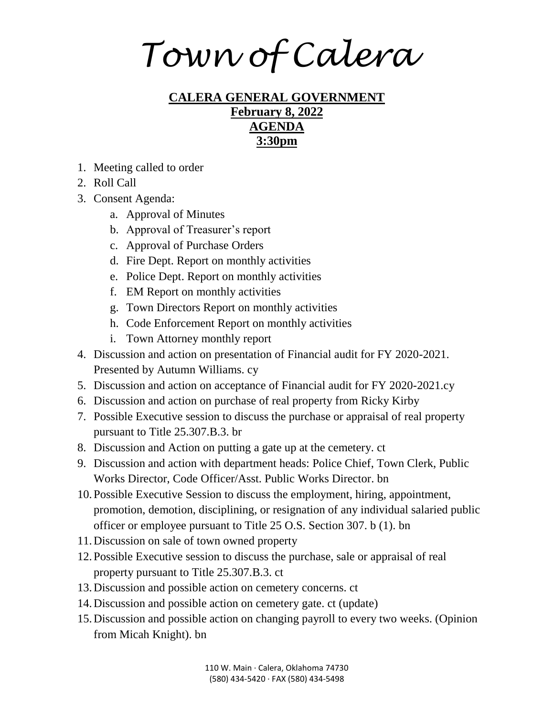*Town of Calera*

## **CALERA GENERAL GOVERNMENT February 8, 2022 AGENDA 3:30pm**

- 1. Meeting called to order
- 2. Roll Call
- 3. Consent Agenda:
	- a. Approval of Minutes
	- b. Approval of Treasurer's report
	- c. Approval of Purchase Orders
	- d. Fire Dept. Report on monthly activities
	- e. Police Dept. Report on monthly activities
	- f. EM Report on monthly activities
	- g. Town Directors Report on monthly activities
	- h. Code Enforcement Report on monthly activities
	- i. Town Attorney monthly report
- 4. Discussion and action on presentation of Financial audit for FY 2020-2021. Presented by Autumn Williams. cy
- 5. Discussion and action on acceptance of Financial audit for FY 2020-2021.cy
- 6. Discussion and action on purchase of real property from Ricky Kirby
- 7. Possible Executive session to discuss the purchase or appraisal of real property pursuant to Title 25.307.B.3. br
- 8. Discussion and Action on putting a gate up at the cemetery. ct
- 9. Discussion and action with department heads: Police Chief, Town Clerk, Public Works Director, Code Officer/Asst. Public Works Director. bn
- 10.Possible Executive Session to discuss the employment, hiring, appointment, promotion, demotion, disciplining, or resignation of any individual salaried public officer or employee pursuant to Title 25 O.S. Section 307. b (1). bn
- 11.Discussion on sale of town owned property
- 12.Possible Executive session to discuss the purchase, sale or appraisal of real property pursuant to Title 25.307.B.3. ct
- 13.Discussion and possible action on cemetery concerns. ct
- 14.Discussion and possible action on cemetery gate. ct (update)
- 15.Discussion and possible action on changing payroll to every two weeks. (Opinion from Micah Knight). bn